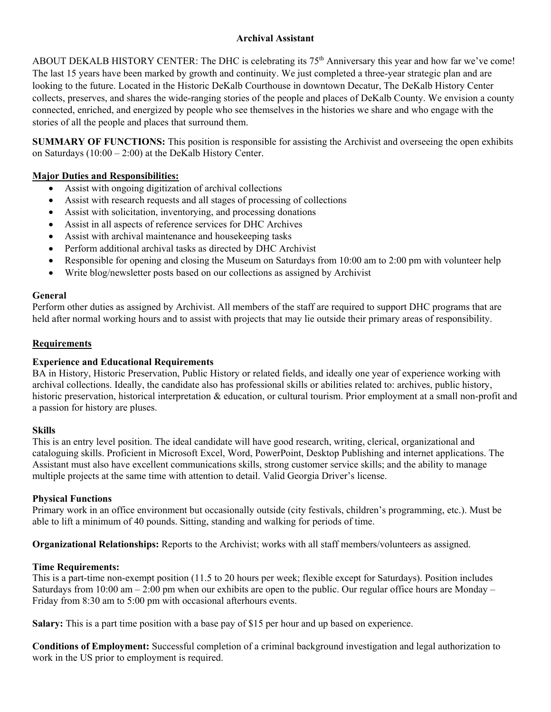## **Archival Assistant**

ABOUT DEKALB HISTORY CENTER: The DHC is celebrating its 75<sup>th</sup> Anniversary this year and how far we've come! The last 15 years have been marked by growth and continuity. We just completed a three-year strategic plan and are looking to the future. Located in the Historic DeKalb Courthouse in downtown Decatur, The DeKalb History Center collects, preserves, and shares the wide-ranging stories of the people and places of DeKalb County. We envision a county connected, enriched, and energized by people who see themselves in the histories we share and who engage with the stories of all the people and places that surround them.

**SUMMARY OF FUNCTIONS:** This position is responsible for assisting the Archivist and overseeing the open exhibits on Saturdays (10:00 – 2:00) at the DeKalb History Center.

# **Major Duties and Responsibilities:**

- Assist with ongoing digitization of archival collections
- Assist with research requests and all stages of processing of collections
- Assist with solicitation, inventorying, and processing donations
- Assist in all aspects of reference services for DHC Archives
- Assist with archival maintenance and housekeeping tasks
- Perform additional archival tasks as directed by DHC Archivist
- Responsible for opening and closing the Museum on Saturdays from 10:00 am to 2:00 pm with volunteer help
- Write blog/newsletter posts based on our collections as assigned by Archivist

## **General**

Perform other duties as assigned by Archivist. All members of the staff are required to support DHC programs that are held after normal working hours and to assist with projects that may lie outside their primary areas of responsibility.

## **Requirements**

## **Experience and Educational Requirements**

BA in History, Historic Preservation, Public History or related fields, and ideally one year of experience working with archival collections. Ideally, the candidate also has professional skills or abilities related to: archives, public history, historic preservation, historical interpretation & education, or cultural tourism. Prior employment at a small non-profit and a passion for history are pluses.

### **Skills**

This is an entry level position. The ideal candidate will have good research, writing, clerical, organizational and cataloguing skills. Proficient in Microsoft Excel, Word, PowerPoint, Desktop Publishing and internet applications. The Assistant must also have excellent communications skills, strong customer service skills; and the ability to manage multiple projects at the same time with attention to detail. Valid Georgia Driver's license.

### **Physical Functions**

Primary work in an office environment but occasionally outside (city festivals, children's programming, etc.). Must be able to lift a minimum of 40 pounds. Sitting, standing and walking for periods of time.

**Organizational Relationships:** Reports to the Archivist; works with all staff members/volunteers as assigned.

### **Time Requirements:**

This is a part-time non-exempt position (11.5 to 20 hours per week; flexible except for Saturdays). Position includes Saturdays from  $10:00$  am  $-2:00$  pm when our exhibits are open to the public. Our regular office hours are Monday – Friday from 8:30 am to 5:00 pm with occasional afterhours events.

**Salary:** This is a part time position with a base pay of \$15 per hour and up based on experience.

**Conditions of Employment:** Successful completion of a criminal background investigation and legal authorization to work in the US prior to employment is required.